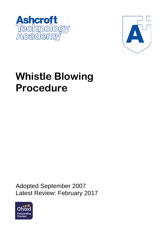



# **Whistle Blowing Procedure**

Adopted September 2007 Latest Review: February 2017

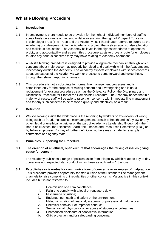# **Whistle Blowing Procedure**

# **1 Introduction**

- 1.1 In employment, there needs to be provision for the right of individual members of staff to speak freely on a range of matters, whilst also ensuring the right of Prospect Education (Technology) Trust (The Trust) and the Academy itself (hereinafter referred to purely as the Academy) or colleagues within the Academy to protect themselves against false allegation and malicious accusation. The Academy believes in the highest standards of openness, probity and accountability and as such this procedure exists to prove a route for employees to raise any serious concerns they may have relating to Academy operations.
- 1.2 A whistle blowing procedure is designed to provide a legitimate mechanism through which concerns about malpractice may properly be raised and dealt with within the Academy and if necessary outside the Academy. The Academy expects employees with series concerns about any aspect of the Academy's work or practice to come forward and voice these, through the relevant reporting channels.
- 1.3 This procedure is not a substitute for normal line management processes and is established only for the purpose of raising concern about wrongdoing and is not a replacement for existing procedures such as the Grievance Policy, the Disciplinary and Dismissals Procedure for Staff or the Complaints Procedure. The Academy hopes that in a majority of cases, staff will be able to raise their concerns with immediate line management and for any such concerns to be resolved quickly and effectively as a result.

# **2 Definition**

2.1 Whistle blowing inside the work place is the reporting by workers or ex-workers, of wrong doing such as fraud, malpractice, mismanagement, breach of health and safety law or any other illegal or unethical act either on the part of Academy's Leadership Group (LG), the Board of Trustees, the Executive Board, the Finance and Resources Committee (FRC) or by fellow employees. By way of further definition, workers may include, for example, contractors and agency staff.

# **3 Principles Supporting the Procedure**

# **3.1 The creation of an ethical, open culture that encourages the raising of issues giving cause for concern:**

The Academy publishes a range of policies aside from this policy which relate to day to day operations and expected staff conduct within these as outlined in 1.3 above.

- **3.2 Establishes safe routes for communications of concerns or examples of malpractice:** This procedure provides opportunity for staff outside of their standard line management channels to raise complaints of irregularities or other concerns. Malpractice in this context includes but is not restricted to:
	- i. Commission of a criminal offence;
	- ii. Failure to comply with a legal or regulatory duty;
	- iii. Miscarriage of justice;<br>iv. Endangering health an
	- Endangering health and safety or the environment;
	- v. Maladministration of financial, academic or professional malpractice;<br>vi. Unethical behaviour or improper conduct:
	- Unethical behaviour or improper conduct;
	- vii. Sexual, racial, physical or other abuse of students or colleagues;
	- viii. Unathorised disclosure of confidential information;
	- ix. Child protection and/or safeguarding concerns;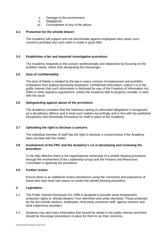- x. Damage to the environment;
- xi. Negligence;<br>xii. Concealmen
- Concealment of any of the above.

#### **3.3 Protection for the whistle blower:**

The Academy will support and not discriminate against employees who raises such concerns provided any such claim is made in good faith.

# **3.4 Establishes a fair and impartial investigative procedure:**

The Academy responds to the concern professionally and objectively by focusing on the problem raised, rather than denigrating the messenger.

#### **3.5 Duty of confidentiality:**

The duty of fidelity is implied by the law in every contract of employment and prohibits employees from publicly disclosing employers' confidential information, unless it is in the public interest that such information is disclosed by way of the Freedom of Information Act 2000 or other statutory requirement, unless the Academy fails to properly consider or deal with the issue.

#### **3.6 Safeguarding against abuse of the procedure:**

The Academy considers that the malicious raising of unfounded allegations is recognised as a disciplinary offence and to treat such matters accordingly and in line with the published Disciplinary and Dismissals Procedure for Staff in place at the Academy.

# **3.7 Upholding the right to disclose a concern:**

The individual member of staff has the right to disclose a concern/issue if the Academy does not deal with the matter.

#### **3.8 Involvement of the FRC and the Academy's LG in developing and reviewing the procedure:**

To be fully effective there is full organisational ownership of a whistle blowing procedure, through the involvement of the Leadership Group and the Finance and Resources Committee in agreeing the procedure.

#### **3.9 Further review:**

Ensure there is an additional review mechanism using the comments and experience of those who may have had reason to invoke the whistle blowing procedure.

#### **4 Legislation**

- 4.1 The Public Interest Disclosure Act 1998 is designed to provide some employment protection rights to 'whistle blowers' from detriment and unfair dismissal. Those protected by the Act include workers, employees, third party contractor staff, agency workers and work experience providers.
- 4.2 Students may also have information that should be raised in the public interest and there should be the proper procedures in place for them to air their concerns.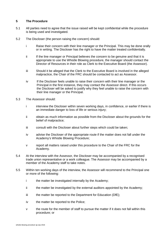#### **5 The Procedure**

- 5.1 All parties need to agree that the issue raised will be kept confidential while the procedure is being used and investigated.
- 5.2 The Discloser (the person raising the concern) should:
	- i Raise their concern with their line manager or the Principal. This may be done orally or in writing. The Discloser has the right to have the matter treated confidentially.
	- ii If the line manager or Principal believes the concern to be genuine and that it is appropriate to use the Whistle Blowing procedure, the manager should contact the Director of Resources in their role as Clerk to the Executive Board (the Assessor).
	- iii Should it be alleged that the Clerk to the Executive Board is involved in the alleged malpractice, the Chair of the FRC should be contacted to act as Assessor.
	- iv If the Discloser feels unable to raise their concern with their line manager or the Principal in the first instance, they may contact the Assessor direct. If this occurs the Discloser will be asked to justify why they feel unable to raise the concern with their line manager or the Principal.
- 5.3 The Assessor should:
	- i interview the Discloser within seven working days, in confidence, or earlier if there is an immediate danger to loss of life or serious injury;
	- ii obtain as much information as possible from the Discloser about the grounds for the belief of malpractice;
	- iii consult with the Discloser about further steps which could be taken;
	- iv advise the Discloser of the appropriate route if the matter does not fall under the Academy's Whistle Blowing Procedure;
	- v report all matters raised under this procedure to the Chair of the FRC for the Academy.
- 5.4 At the interview with the Assessor, the Discloser may be accompanied by a recognised trade union representative or a work colleague. The Assessor may be accompanied by a member of the Academy staff to take notes.
- 5.5 Within ten working days of the interview, the Assessor will recommend to the Principal one or more of the following:
	- i the matter be investigated internally by the Academy;
	- ii the matter be investigated by the external auditors appointed by the Academy;
	- iii the matter be reported to the Department for Education (DfE);
	- iv the matter be reported to the Police;
	- v the route for the member of staff to pursue the matter if it does not fall within this procedure; or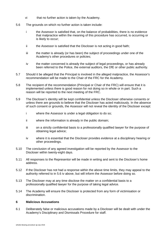- vi that no further action is taken by the Academy.
- 5.6 The grounds on which no further action is taken include:
	- i the Assessor is satisfied that, on the balance of probabilities, there is no evidence that malpractice within the meaning of this procedure has occurred, is occurring or is likely to occur;
	- ii the Assessor is satisfied that the Discloser is not acting in good faith;
	- iii the matter is already (or has been) the subject of proceedings under one of the Academy's other procedures or policies;
	- iv the matter concerned is already the subject of legal proceedings, or has already been referred to the Police, the external auditors, the DfE or other public authority.
- 5.7 Should it be alleged that the Principal is involved in the alleged malpractice, the Assessor's recommendation will be made to the Chair of the FRC for the Academy.
- 5.8 The recipient of the recommendation (Principal or Chair of the FRC) will ensure that it is implemented unless there is good reason for not doing so in whole or in part. Such a reason will be reported to the next meeting of the FRC.
- 5.9 The Discloser's identity will be kept confidential unless the Discloser otherwise consents or unless there are grounds to believe that the Discloser has acted maliciously. In the absence of such consent or grounds, the Assessor will not reveal the identity of the Discloser except:
	- i where the Assessor is under a legal obligation to do so;
	- ii where the information is already in the public domain;
	- iii on a strictly confidential basis to a professionally qualified lawyer for the purpose of obtaining legal advice;
	- iv where it is essential that the Discloser provides evidence at a disciplinary hearing or other proceedings.
- 5.10 The conclusion of any agreed investigation will be reported by the Assessor to the Discloser within twenty-eight days.
- 5.11 All responses to the Representor will be made in writing and sent to the Discloser's home address.
- 5.12 If the Discloser has not had a response within the above time limits, they may appeal to the authority referred to in 5.6 iv above, but will inform the Assessor before doing so.
- 5.13 The Discloser may at any time disclose the matter on a confidential basis to a professionally qualified lawyer for the purpose of taking legal advice.
- 5.14 The Academy will ensure the Discloser is protected from any form of victimisation or discrimination.

## **6 Malicious Accusations**

6.1 Deliberately false or malicious accusations made by a Discloser will be dealt with under the Academy's Disciplinary and Dismissals Procedure for staff.